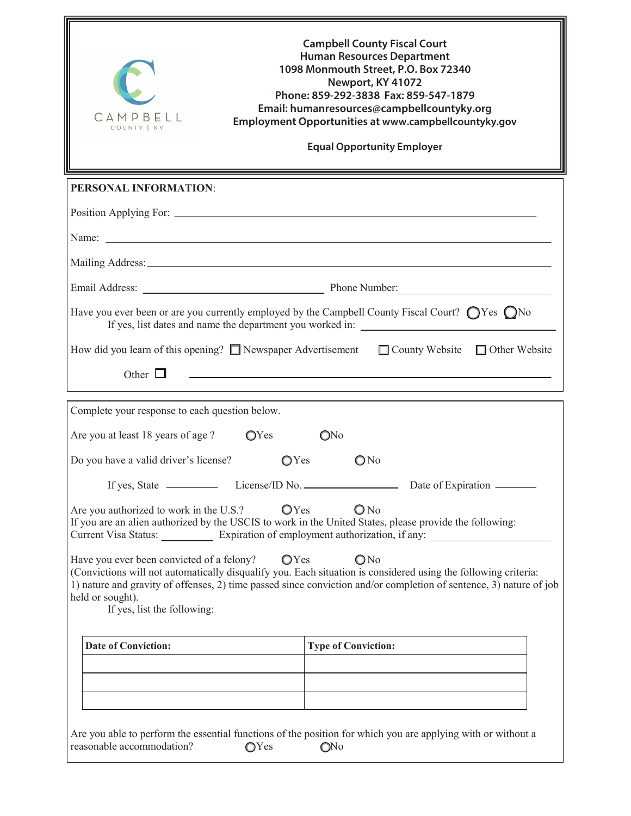| <b>Campbell County Fiscal Court</b><br><b>Human Resources Department</b><br>1098 Monmouth Street, P.O. Box 72340<br>Newport, KY 41072<br>Phone: 859-292-3838 Fax: 859-547-1879<br>Email: humanresources@campbellcountyky.org<br>CAMPBELL<br>Employment Opportunities at www.campbellcountyky.gov<br>COUNTY  <br><b>Equal Opportunity Employer</b>          |                                                                                                                  |  |
|------------------------------------------------------------------------------------------------------------------------------------------------------------------------------------------------------------------------------------------------------------------------------------------------------------------------------------------------------------|------------------------------------------------------------------------------------------------------------------|--|
| PERSONAL INFORMATION:                                                                                                                                                                                                                                                                                                                                      |                                                                                                                  |  |
|                                                                                                                                                                                                                                                                                                                                                            |                                                                                                                  |  |
| Name: $\Box$                                                                                                                                                                                                                                                                                                                                               |                                                                                                                  |  |
|                                                                                                                                                                                                                                                                                                                                                            |                                                                                                                  |  |
|                                                                                                                                                                                                                                                                                                                                                            |                                                                                                                  |  |
| Have you ever been or are you currently employed by the Campbell County Fiscal Court? $\bigcirc$ Yes $\bigcirc$ No<br>If yes, list dates and name the department you worked in:                                                                                                                                                                            |                                                                                                                  |  |
| How did you learn of this opening? $\Box$ Newspaper Advertisement $\Box$ County Website $\Box$ Other Website                                                                                                                                                                                                                                               |                                                                                                                  |  |
| Other $\Box$                                                                                                                                                                                                                                                                                                                                               | and the control of the control of the control of the control of the control of the control of the control of the |  |
| Complete your response to each question below.                                                                                                                                                                                                                                                                                                             |                                                                                                                  |  |
| Are you at least 18 years of age ? $QYes$                                                                                                                                                                                                                                                                                                                  | ONo                                                                                                              |  |
| Do you have a valid driver's license?<br>OYes                                                                                                                                                                                                                                                                                                              | ONo                                                                                                              |  |
|                                                                                                                                                                                                                                                                                                                                                            |                                                                                                                  |  |
| ONo<br>OYes<br>Are you authorized to work in the U.S.?<br>If you are an alien authorized by the USCIS to work in the United States, please provide the following:<br>Current Visa Status: Expiration of employment authorization, if any:                                                                                                                  |                                                                                                                  |  |
| Have you ever been convicted of a felony? $\bigcirc$ Yes<br>ONo<br>(Convictions will not automatically disqualify you. Each situation is considered using the following criteria:<br>1) nature and gravity of offenses, 2) time passed since conviction and/or completion of sentence, 3) nature of job<br>held or sought).<br>If yes, list the following: |                                                                                                                  |  |
| <b>Date of Conviction:</b>                                                                                                                                                                                                                                                                                                                                 | <b>Type of Conviction:</b>                                                                                       |  |
|                                                                                                                                                                                                                                                                                                                                                            |                                                                                                                  |  |
|                                                                                                                                                                                                                                                                                                                                                            |                                                                                                                  |  |
| Are you able to perform the essential functions of the position for which you are applying with or without a<br>reasonable accommodation?<br>OYes                                                                                                                                                                                                          | O <sub>No</sub>                                                                                                  |  |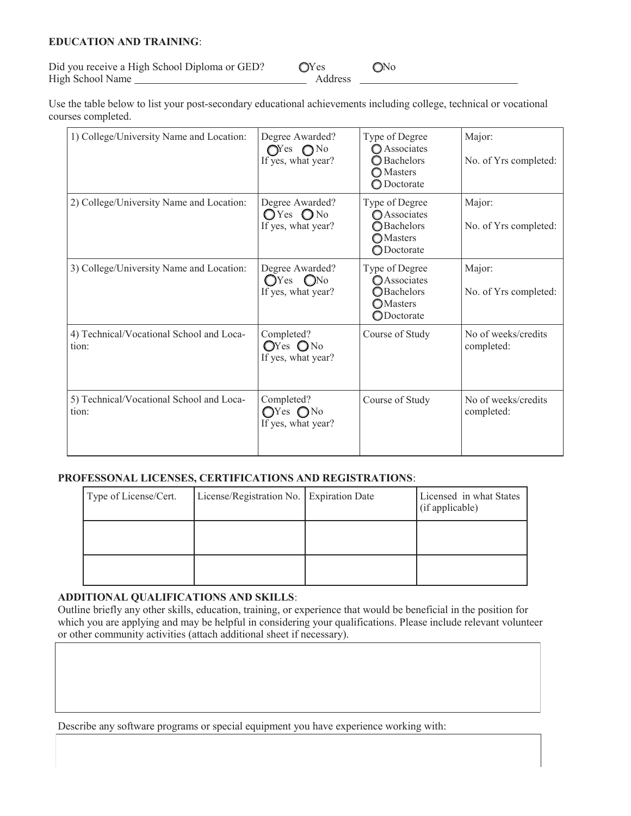## **EDUCATION AND TRAINING**:

Did you receive a High School Diploma or GED?  $QYes$   $QNo$ High School Name Address

Use the table below to list your post-secondary educational achievements including college, technical or vocational courses completed.

| 1) College/University Name and Location:          | Degree Awarded?<br>$\mathbb{O}^{\text{Yes}}$ $\mathbb{O}^{\text{No}}$<br>If yes, what year? | Type of Degree<br><b>O</b> Associates<br>◯ Bachelors<br><b>O</b> Masters<br>◯ Doctorate              | Major:<br>No. of Yrs completed:   |
|---------------------------------------------------|---------------------------------------------------------------------------------------------|------------------------------------------------------------------------------------------------------|-----------------------------------|
| 2) College/University Name and Location:          | Degree Awarded?<br>$O$ Yes $O$ No<br>If yes, what year?                                     | Type of Degree<br><b>O</b> Associates<br><b>O</b> Bachelors<br><b>O</b> Masters<br><b>ODoctorate</b> | Major:<br>No. of Yrs completed:   |
| 3) College/University Name and Location:          | Degree Awarded?<br>$OYes$ $ONo$<br>If yes, what year?                                       | Type of Degree<br><b>O</b> Associates<br><b>O</b> Bachelors<br><b>OMasters</b><br>ODoctorate         | Major:<br>No. of Yrs completed:   |
| 4) Technical/Vocational School and Loca-<br>tion: | Completed?<br>$OYes$ $ONo$<br>If yes, what year?                                            | Course of Study                                                                                      | No of weeks/credits<br>completed: |
| 5) Technical/Vocational School and Loca-<br>tion: | Completed?<br>$QYes$ $QNo$<br>If yes, what year?                                            | Course of Study                                                                                      | No of weeks/credits<br>completed: |

## **PROFESSONAL LICENSES, CERTIFICATIONS AND REGISTRATIONS**:

| Type of License/Cert. | License/Registration No. Expiration Date | Licensed in what States<br>(if applicable) |
|-----------------------|------------------------------------------|--------------------------------------------|
|                       |                                          |                                            |
|                       |                                          |                                            |

## **ADDITIONAL QUALIFICATIONS AND SKILLS**:

Outline briefly any other skills, education, training, or experience that would be beneficial in the position for which you are applying and may be helpful in considering your qualifications. Please include relevant volunteer or other community activities (attach additional sheet if necessary).

Describe any software programs or special equipment you have experience working with: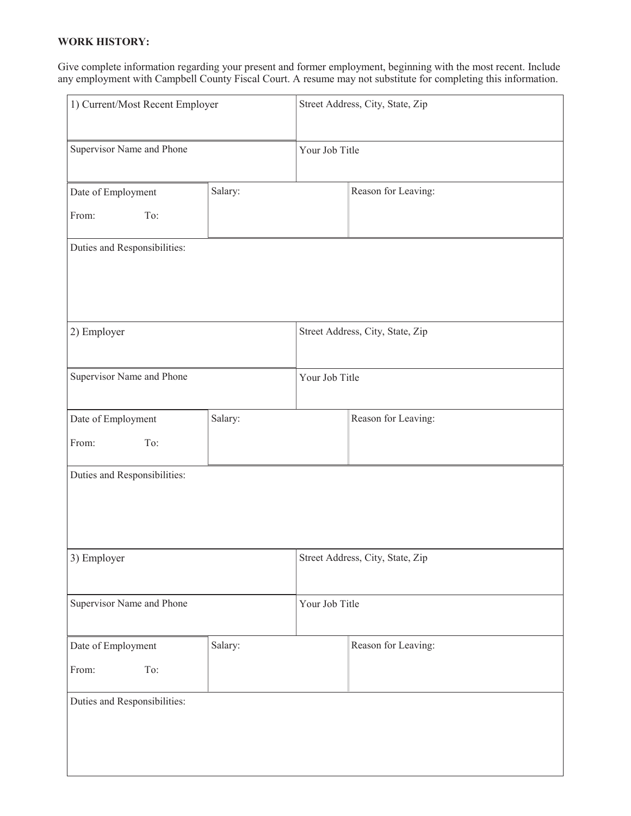## **WORK HISTORY:**

Give complete information regarding your present and former employment, beginning with the most recent. Include any employment with Campbell County Fiscal Court. A resume may not substitute for completing this information.

| 1) Current/Most Recent Employer    |                |                | Street Address, City, State, Zip |
|------------------------------------|----------------|----------------|----------------------------------|
| Supervisor Name and Phone          |                | Your Job Title |                                  |
| Date of Employment<br>From:<br>To: | Salary:        |                | Reason for Leaving:              |
| Duties and Responsibilities:       |                |                |                                  |
| 2) Employer                        |                |                | Street Address, City, State, Zip |
| Supervisor Name and Phone          | Your Job Title |                |                                  |
| Date of Employment<br>To:<br>From: | Salary:        |                | Reason for Leaving:              |
| Duties and Responsibilities:       |                |                |                                  |
| 3) Employer                        |                |                | Street Address, City, State, Zip |
| Supervisor Name and Phone          |                | Your Job Title |                                  |
| Date of Employment<br>From:<br>To: | Salary:        |                | Reason for Leaving:              |
| Duties and Responsibilities:       |                |                |                                  |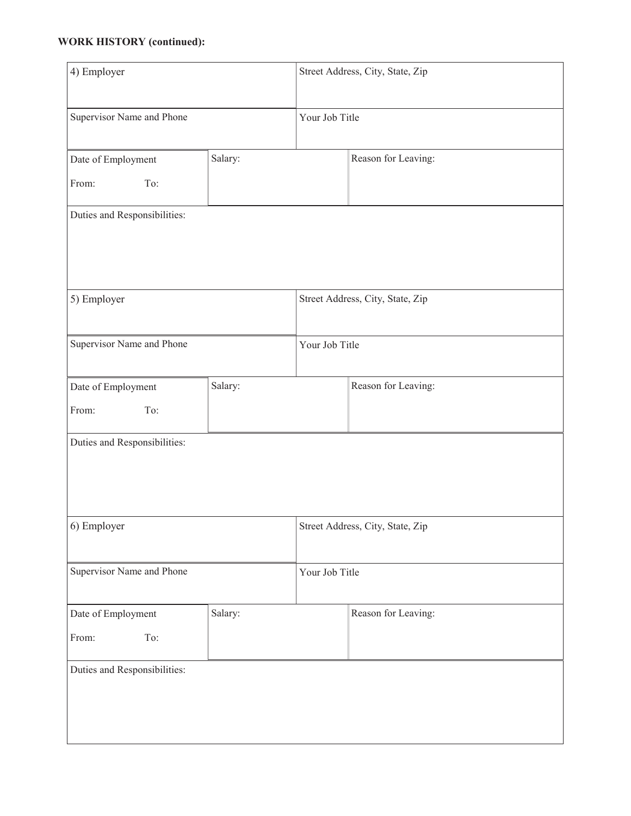# **WORK HISTORY (continued):**

| 4) Employer                        |                |                | Street Address, City, State, Zip |
|------------------------------------|----------------|----------------|----------------------------------|
| Supervisor Name and Phone          |                | Your Job Title |                                  |
| Date of Employment                 | Salary:        |                | Reason for Leaving:              |
| From:<br>To:                       |                |                |                                  |
| Duties and Responsibilities:       |                |                |                                  |
| 5) Employer                        |                |                | Street Address, City, State, Zip |
| Supervisor Name and Phone          | Your Job Title |                |                                  |
| Date of Employment<br>From:<br>To: | Salary:        |                | Reason for Leaving:              |
| Duties and Responsibilities:       |                |                |                                  |
| 6) Employer                        |                |                | Street Address, City, State, Zip |
| Supervisor Name and Phone          |                | Your Job Title |                                  |
| Date of Employment                 | Salary:        |                | Reason for Leaving:              |
| From:<br>To:                       |                |                |                                  |
| Duties and Responsibilities:       |                |                |                                  |